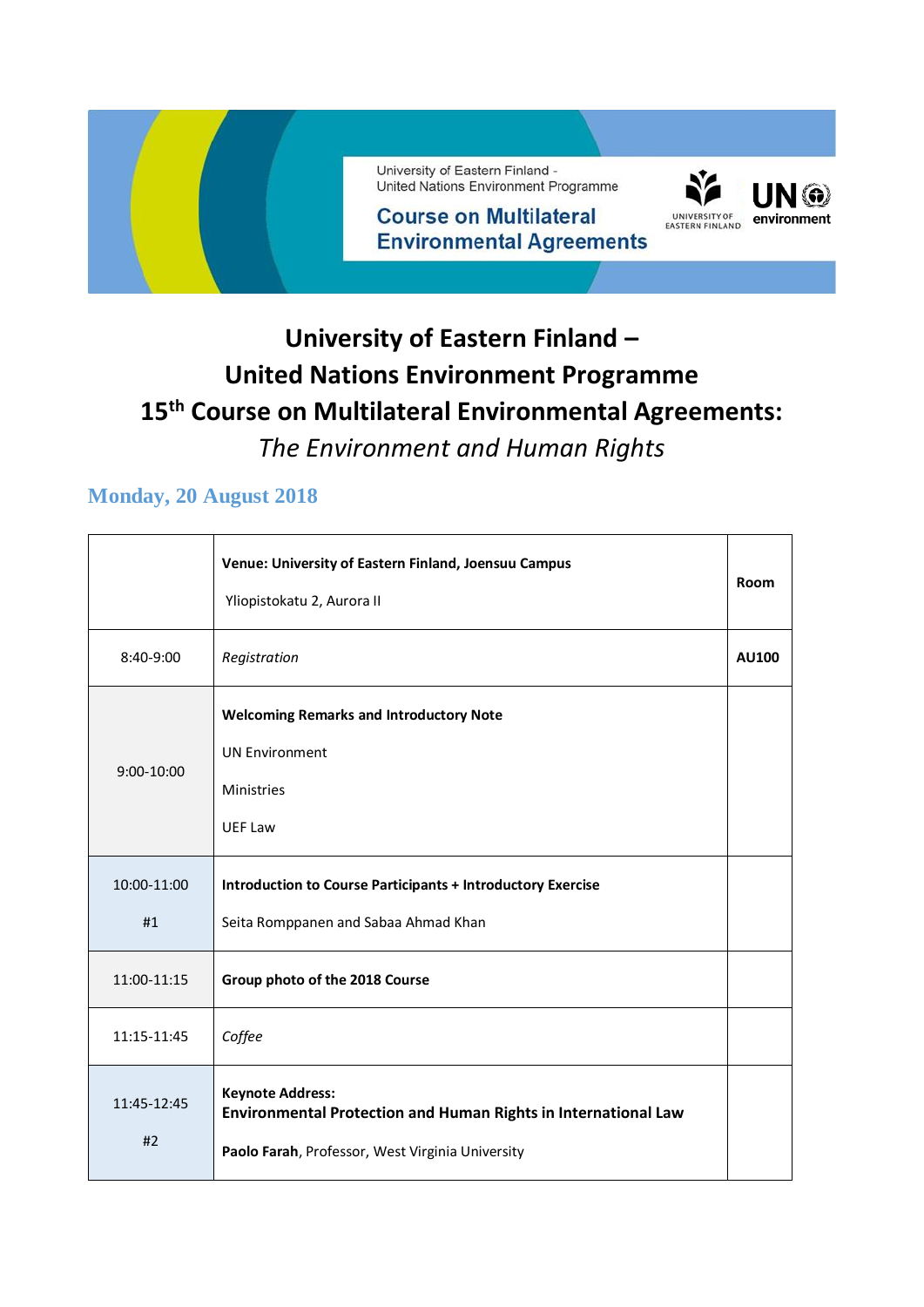

### **University of Eastern Finland – United Nations Environment Programme 15th Course on Multilateral Environmental Agreements:**  *The Environment and Human Rights*

#### **Monday, 20 August 2018**

|                   | Venue: University of Eastern Finland, Joensuu Campus<br>Yliopistokatu 2, Aurora II                                                            | Room         |
|-------------------|-----------------------------------------------------------------------------------------------------------------------------------------------|--------------|
| 8:40-9:00         | Registration                                                                                                                                  | <b>AU100</b> |
| $9:00-10:00$      | <b>Welcoming Remarks and Introductory Note</b><br><b>UN Environment</b><br><b>Ministries</b><br><b>UEF Law</b>                                |              |
| 10:00-11:00<br>#1 | <b>Introduction to Course Participants + Introductory Exercise</b><br>Seita Romppanen and Sabaa Ahmad Khan                                    |              |
| 11:00-11:15       | Group photo of the 2018 Course                                                                                                                |              |
| 11:15-11:45       | Coffee                                                                                                                                        |              |
| 11:45-12:45<br>#2 | <b>Keynote Address:</b><br>Environmental Protection and Human Rights in International Law<br>Paolo Farah, Professor, West Virginia University |              |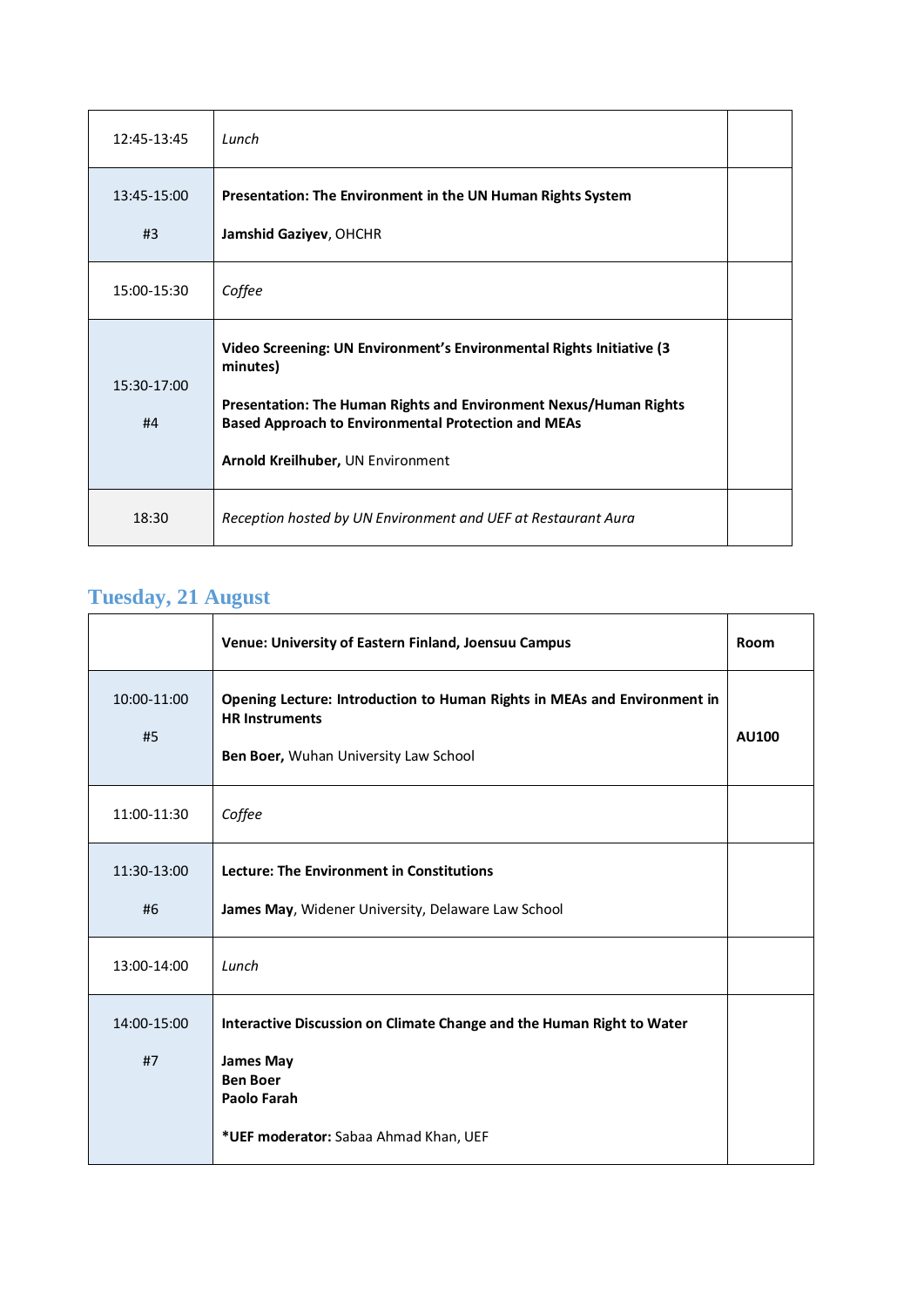| 12:45-13:45       | Lunch                                                                                                                                                                                                                                                    |  |
|-------------------|----------------------------------------------------------------------------------------------------------------------------------------------------------------------------------------------------------------------------------------------------------|--|
| 13:45-15:00<br>#3 | Presentation: The Environment in the UN Human Rights System<br>Jamshid Gaziyev, OHCHR                                                                                                                                                                    |  |
| 15:00-15:30       | Coffee                                                                                                                                                                                                                                                   |  |
| 15:30-17:00<br>#4 | Video Screening: UN Environment's Environmental Rights Initiative (3<br>minutes)<br>Presentation: The Human Rights and Environment Nexus/Human Rights<br><b>Based Approach to Environmental Protection and MEAs</b><br>Arnold Kreilhuber, UN Environment |  |
| 18:30             | Reception hosted by UN Environment and UEF at Restaurant Aura                                                                                                                                                                                            |  |

### **Tuesday, 21 August**

|                   | Venue: University of Eastern Finland, Joensuu Campus                                                                                                                        | Room         |
|-------------------|-----------------------------------------------------------------------------------------------------------------------------------------------------------------------------|--------------|
| 10:00-11:00<br>#5 | Opening Lecture: Introduction to Human Rights in MEAs and Environment in<br><b>HR Instruments</b><br>Ben Boer, Wuhan University Law School                                  | <b>AU100</b> |
| 11:00-11:30       | Coffee                                                                                                                                                                      |              |
| 11:30-13:00<br>#6 | Lecture: The Environment in Constitutions<br>James May, Widener University, Delaware Law School                                                                             |              |
| 13:00-14:00       | Lunch                                                                                                                                                                       |              |
| 14:00-15:00<br>#7 | Interactive Discussion on Climate Change and the Human Right to Water<br><b>James May</b><br><b>Ben Boer</b><br><b>Paolo Farah</b><br>*UEF moderator: Sabaa Ahmad Khan, UEF |              |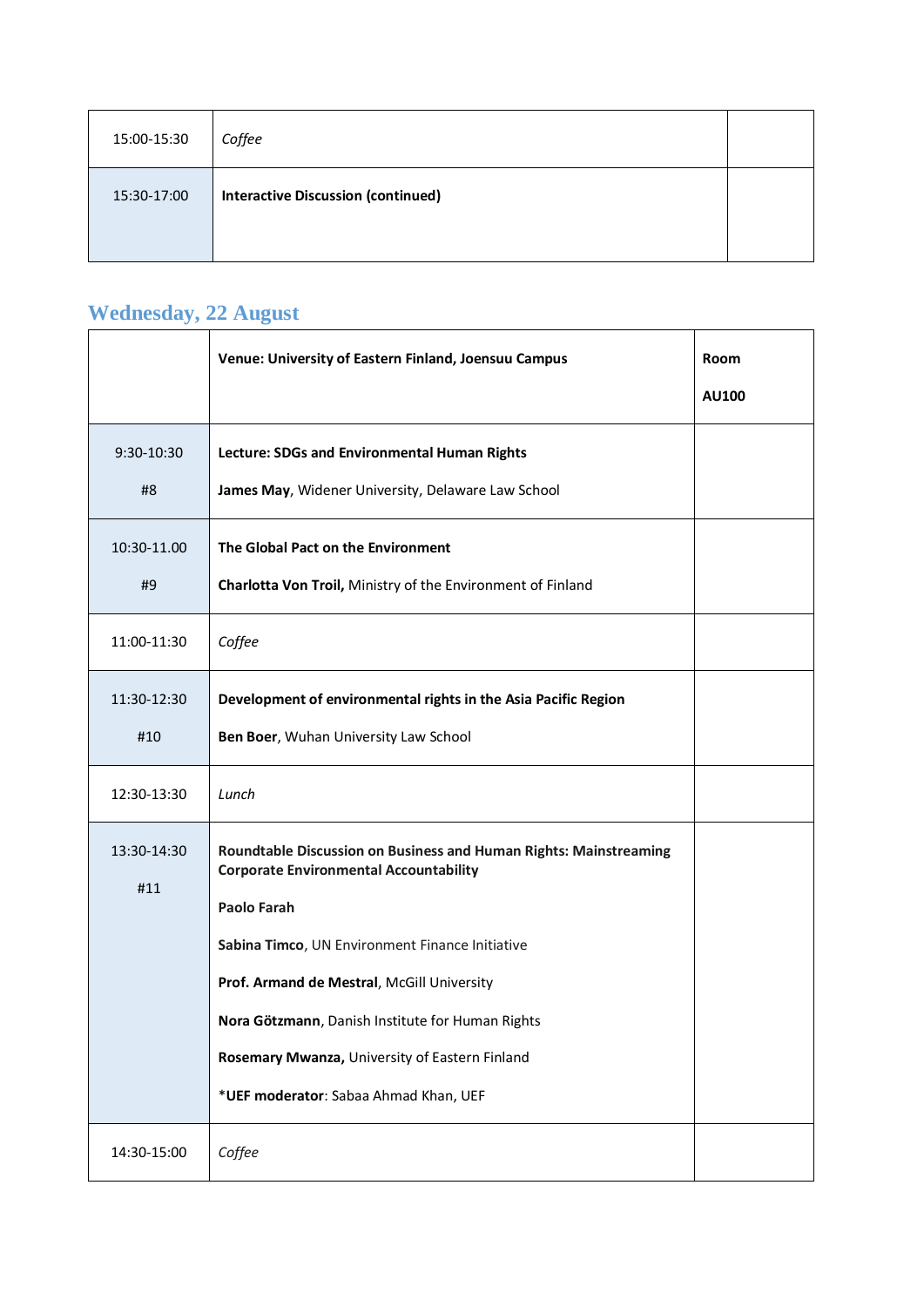| 15:00-15:30 | Coffee                                    |  |
|-------------|-------------------------------------------|--|
| 15:30-17:00 | <b>Interactive Discussion (continued)</b> |  |

### **Wednesday, 22 August**

|                    | Venue: University of Eastern Finland, Joensuu Campus                                                                                                                                                                                                                                                                                                                              | Room<br><b>AU100</b> |
|--------------------|-----------------------------------------------------------------------------------------------------------------------------------------------------------------------------------------------------------------------------------------------------------------------------------------------------------------------------------------------------------------------------------|----------------------|
| 9:30-10:30<br>#8   | Lecture: SDGs and Environmental Human Rights<br>James May, Widener University, Delaware Law School                                                                                                                                                                                                                                                                                |                      |
| 10:30-11.00<br>#9  | The Global Pact on the Environment<br>Charlotta Von Troil, Ministry of the Environment of Finland                                                                                                                                                                                                                                                                                 |                      |
| 11:00-11:30        | Coffee                                                                                                                                                                                                                                                                                                                                                                            |                      |
| 11:30-12:30<br>#10 | Development of environmental rights in the Asia Pacific Region<br>Ben Boer, Wuhan University Law School                                                                                                                                                                                                                                                                           |                      |
| 12:30-13:30        | Lunch                                                                                                                                                                                                                                                                                                                                                                             |                      |
| 13:30-14:30<br>#11 | Roundtable Discussion on Business and Human Rights: Mainstreaming<br><b>Corporate Environmental Accountability</b><br>Paolo Farah<br>Sabina Timco, UN Environment Finance Initiative<br>Prof. Armand de Mestral, McGill University<br>Nora Götzmann, Danish Institute for Human Rights<br>Rosemary Mwanza, University of Eastern Finland<br>*UEF moderator: Sabaa Ahmad Khan, UEF |                      |
| 14:30-15:00        | Coffee                                                                                                                                                                                                                                                                                                                                                                            |                      |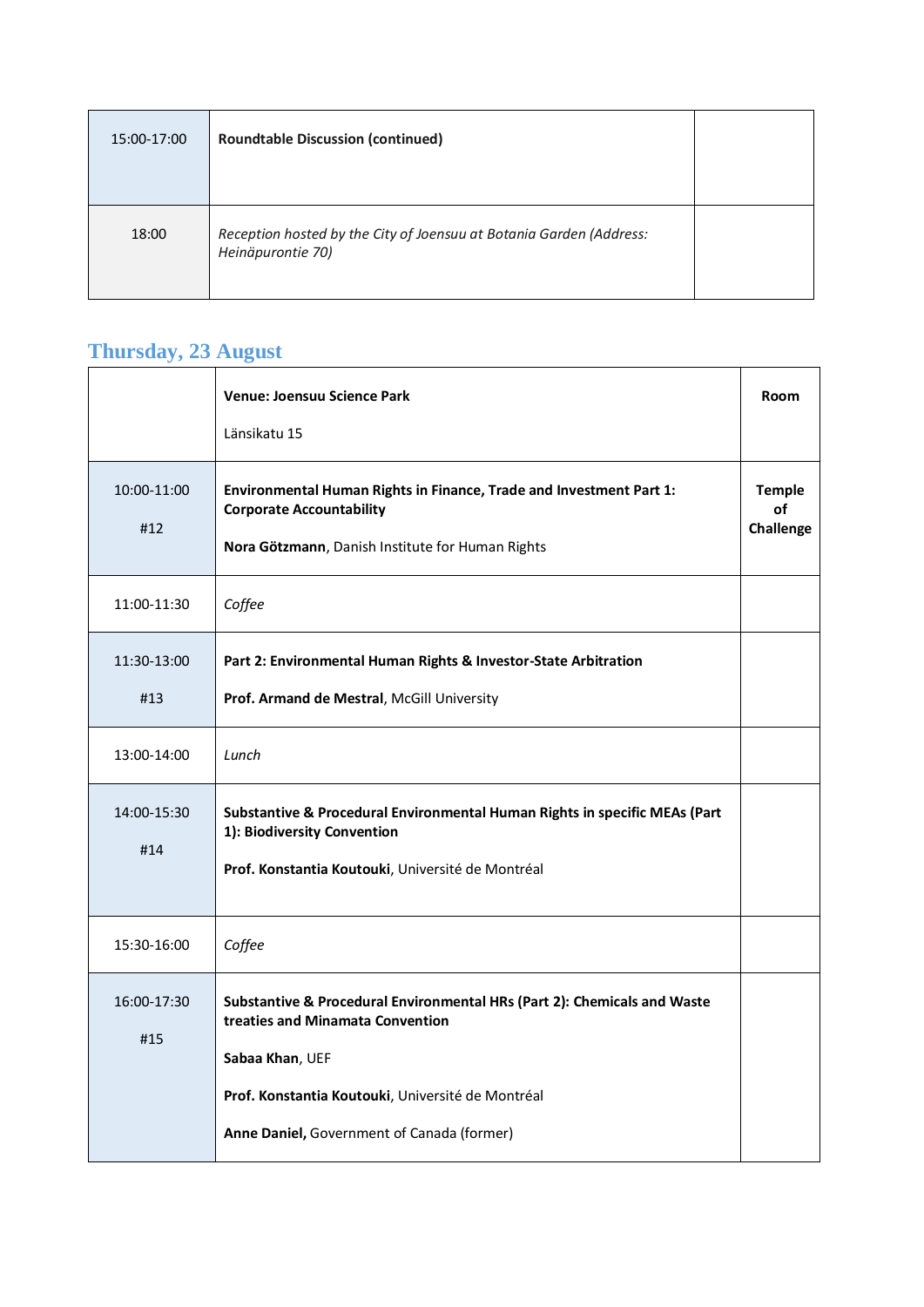| 15:00-17:00 | <b>Roundtable Discussion (continued)</b>                                                 |  |
|-------------|------------------------------------------------------------------------------------------|--|
| 18:00       | Reception hosted by the City of Joensuu at Botania Garden (Address:<br>Heinäpurontie 70) |  |

 $\overline{\phantom{a}}$ 

# **Thursday, 23 August**

|                    | <b>Venue: Joensuu Science Park</b><br>Länsikatu 15                                                                                                                                                                                 | <b>Room</b>                      |
|--------------------|------------------------------------------------------------------------------------------------------------------------------------------------------------------------------------------------------------------------------------|----------------------------------|
| 10:00-11:00<br>#12 | Environmental Human Rights in Finance, Trade and Investment Part 1:<br><b>Corporate Accountability</b><br>Nora Götzmann, Danish Institute for Human Rights                                                                         | <b>Temple</b><br>of<br>Challenge |
| 11:00-11:30        | Coffee                                                                                                                                                                                                                             |                                  |
| 11:30-13:00<br>#13 | Part 2: Environmental Human Rights & Investor-State Arbitration<br>Prof. Armand de Mestral, McGill University                                                                                                                      |                                  |
| 13:00-14:00        | Lunch                                                                                                                                                                                                                              |                                  |
| 14:00-15:30<br>#14 | Substantive & Procedural Environmental Human Rights in specific MEAs (Part<br>1): Biodiversity Convention<br>Prof. Konstantia Koutouki, Université de Montréal                                                                     |                                  |
| 15:30-16:00        | Coffee                                                                                                                                                                                                                             |                                  |
| 16:00-17:30<br>#15 | Substantive & Procedural Environmental HRs (Part 2): Chemicals and Waste<br>treaties and Minamata Convention<br>Sabaa Khan, UEF<br>Prof. Konstantia Koutouki, Université de Montréal<br>Anne Daniel, Government of Canada (former) |                                  |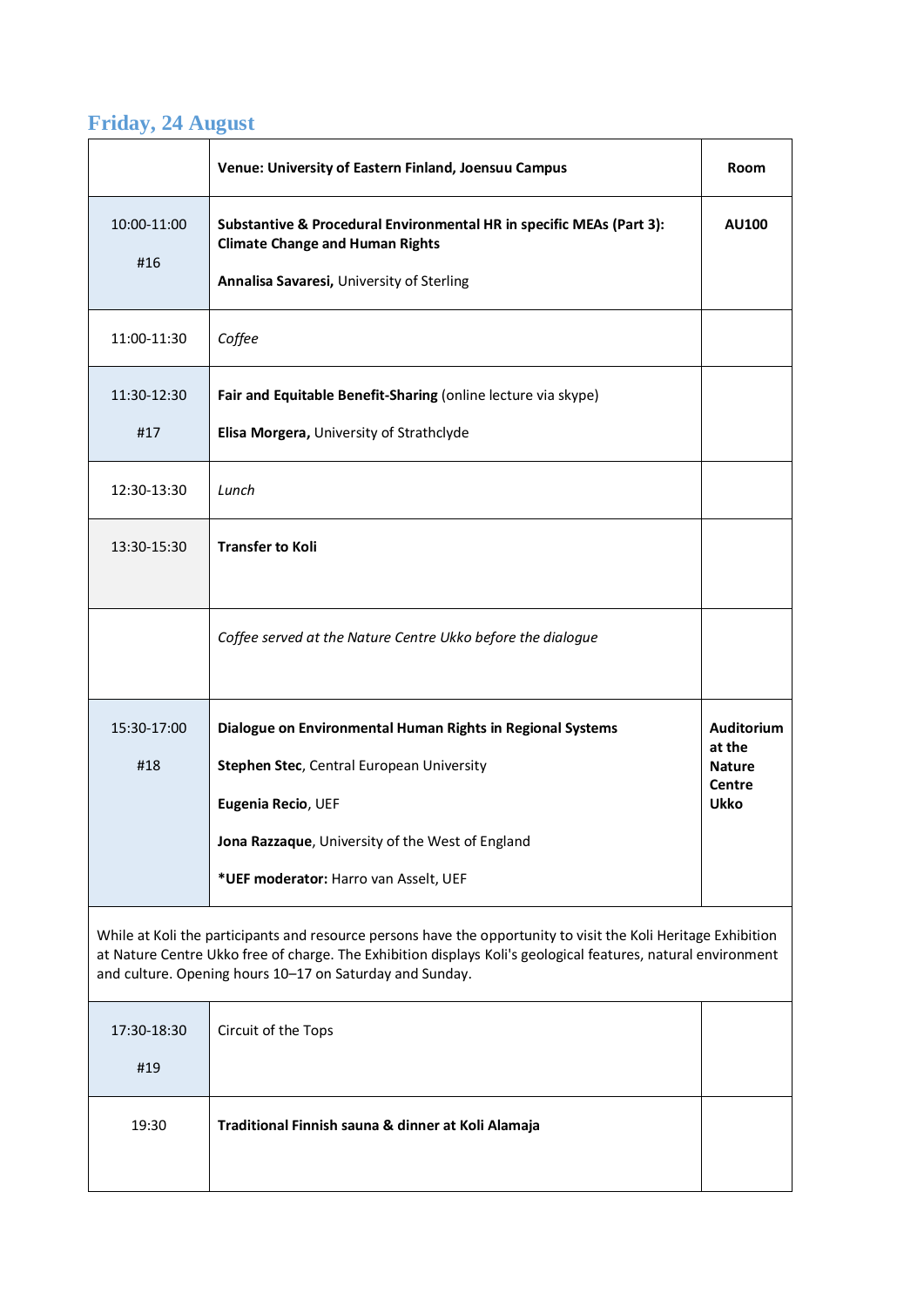### **Friday, 24 August**

|                                                                                                                                                                                                                                                                                             | Venue: University of Eastern Finland, Joensuu Campus                                                                                                         | Room                                                    |
|---------------------------------------------------------------------------------------------------------------------------------------------------------------------------------------------------------------------------------------------------------------------------------------------|--------------------------------------------------------------------------------------------------------------------------------------------------------------|---------------------------------------------------------|
| 10:00-11:00<br>#16                                                                                                                                                                                                                                                                          | Substantive & Procedural Environmental HR in specific MEAs (Part 3):<br><b>Climate Change and Human Rights</b><br>Annalisa Savaresi, University of Sterling  | AU100                                                   |
| 11:00-11:30                                                                                                                                                                                                                                                                                 | Coffee                                                                                                                                                       |                                                         |
| 11:30-12:30<br>#17                                                                                                                                                                                                                                                                          | Fair and Equitable Benefit-Sharing (online lecture via skype)<br>Elisa Morgera, University of Strathclyde                                                    |                                                         |
| 12:30-13:30                                                                                                                                                                                                                                                                                 | Lunch                                                                                                                                                        |                                                         |
| 13:30-15:30                                                                                                                                                                                                                                                                                 | <b>Transfer to Koli</b>                                                                                                                                      |                                                         |
|                                                                                                                                                                                                                                                                                             | Coffee served at the Nature Centre Ukko before the dialogue                                                                                                  |                                                         |
| 15:30-17:00                                                                                                                                                                                                                                                                                 | Dialogue on Environmental Human Rights in Regional Systems                                                                                                   | <b>Auditorium</b>                                       |
| #18                                                                                                                                                                                                                                                                                         | Stephen Stec, Central European University<br>Eugenia Recio, UEF<br>Jona Razzaque, University of the West of England<br>*UEF moderator: Harro van Asselt, UEF | at the<br><b>Nature</b><br><b>Centre</b><br><b>Ukko</b> |
| While at Koli the participants and resource persons have the opportunity to visit the Koli Heritage Exhibition<br>at Nature Centre Ukko free of charge. The Exhibition displays Koli's geological features, natural environment<br>and culture. Opening hours 10-17 on Saturday and Sunday. |                                                                                                                                                              |                                                         |
| 17:30-18:30<br>#19                                                                                                                                                                                                                                                                          | Circuit of the Tops                                                                                                                                          |                                                         |
| 19:30                                                                                                                                                                                                                                                                                       | Traditional Finnish sauna & dinner at Koli Alamaja                                                                                                           |                                                         |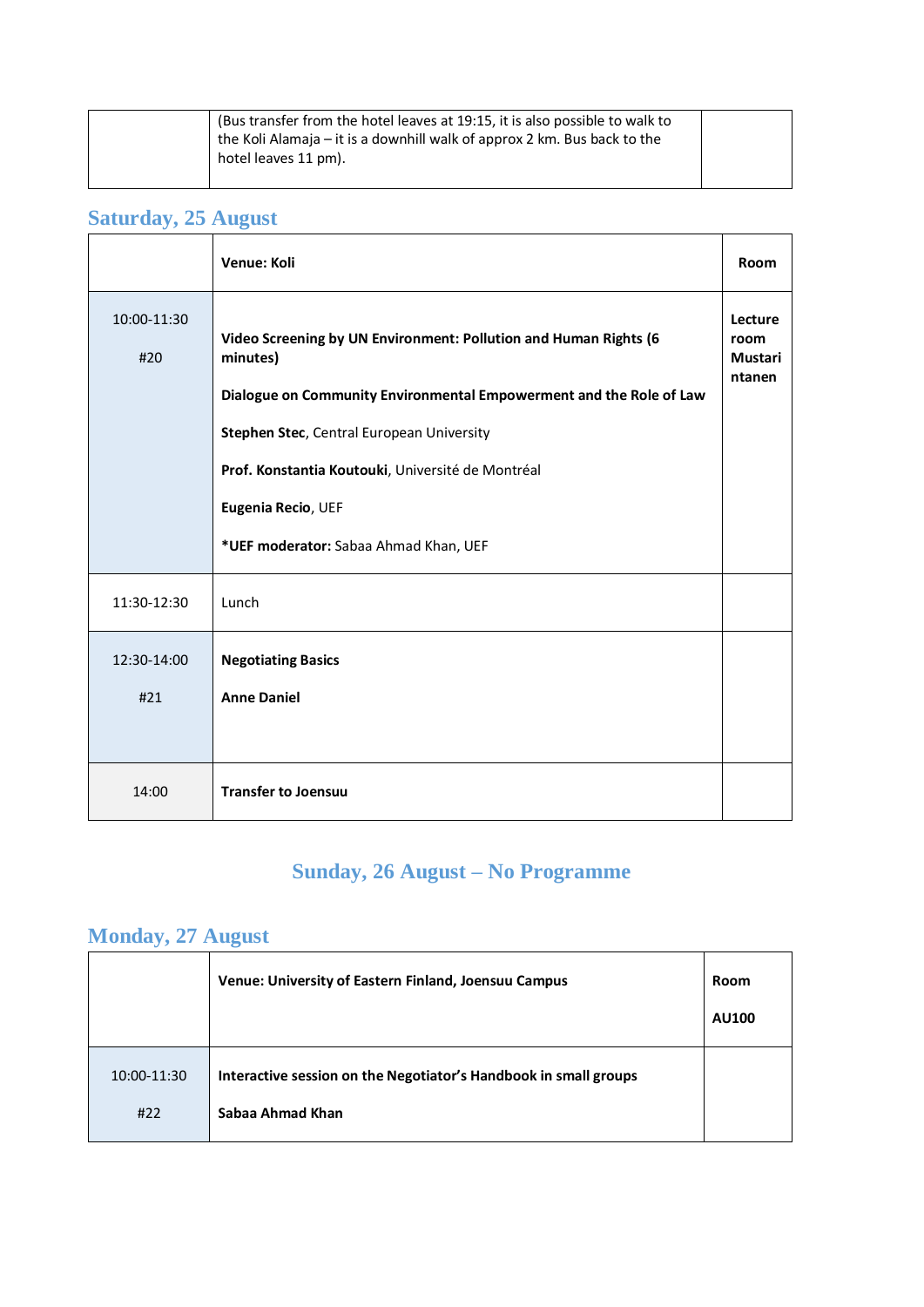| (Bus transfer from the hotel leaves at 19:15, it is also possible to walk to<br>the Koli Alamaja – it is a downhill walk of approx 2 km. Bus back to the |  |
|----------------------------------------------------------------------------------------------------------------------------------------------------------|--|
| hotel leaves 11 pm).                                                                                                                                     |  |

## Saturday, 25 August

|                    | Venue: Koli                                                                                                                                                                                                                                                                 | Room                                 |
|--------------------|-----------------------------------------------------------------------------------------------------------------------------------------------------------------------------------------------------------------------------------------------------------------------------|--------------------------------------|
| 10:00-11:30<br>#20 | Video Screening by UN Environment: Pollution and Human Rights (6<br>minutes)<br>Dialogue on Community Environmental Empowerment and the Role of Law<br>Stephen Stec, Central European University<br>Prof. Konstantia Koutouki, Université de Montréal<br>Eugenia Recio, UEF | Lecture<br>room<br>Mustari<br>ntanen |
|                    | *UEF moderator: Sabaa Ahmad Khan, UEF                                                                                                                                                                                                                                       |                                      |
| 11:30-12:30        | Lunch                                                                                                                                                                                                                                                                       |                                      |
| 12:30-14:00<br>#21 | <b>Negotiating Basics</b><br><b>Anne Daniel</b>                                                                                                                                                                                                                             |                                      |
| 14:00              | <b>Transfer to Joensuu</b>                                                                                                                                                                                                                                                  |                                      |

### **Sunday, 26 August – No Programme**

### **Monday, 27 August**

|                    | Venue: University of Eastern Finland, Joensuu Campus                                 | Room<br><b>AU100</b> |
|--------------------|--------------------------------------------------------------------------------------|----------------------|
| 10:00-11:30<br>#22 | Interactive session on the Negotiator's Handbook in small groups<br>Sabaa Ahmad Khan |                      |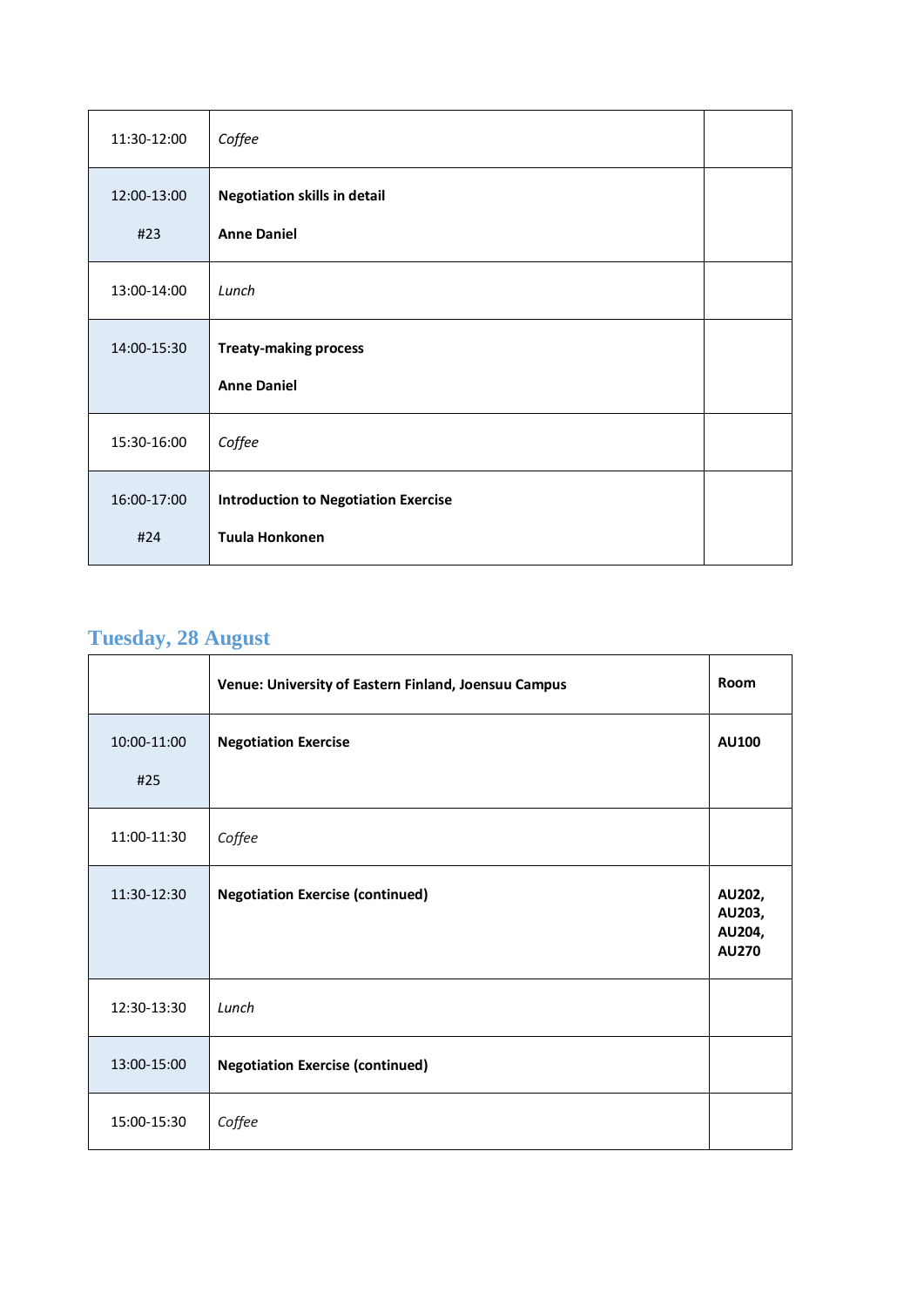| 11:30-12:00 | Coffee                                      |  |
|-------------|---------------------------------------------|--|
| 12:00-13:00 | <b>Negotiation skills in detail</b>         |  |
| #23         | <b>Anne Daniel</b>                          |  |
| 13:00-14:00 | Lunch                                       |  |
| 14:00-15:30 | <b>Treaty-making process</b>                |  |
|             | <b>Anne Daniel</b>                          |  |
| 15:30-16:00 | Coffee                                      |  |
| 16:00-17:00 | <b>Introduction to Negotiation Exercise</b> |  |
| #24         | Tuula Honkonen                              |  |

### **Tuesday, 28 August**

|                    | Venue: University of Eastern Finland, Joensuu Campus | Room                                       |
|--------------------|------------------------------------------------------|--------------------------------------------|
| 10:00-11:00<br>#25 | <b>Negotiation Exercise</b>                          | <b>AU100</b>                               |
| 11:00-11:30        | Coffee                                               |                                            |
| 11:30-12:30        | <b>Negotiation Exercise (continued)</b>              | AU202,<br>AU203,<br>AU204,<br><b>AU270</b> |
| 12:30-13:30        | Lunch                                                |                                            |
| 13:00-15:00        | <b>Negotiation Exercise (continued)</b>              |                                            |
| 15:00-15:30        | Coffee                                               |                                            |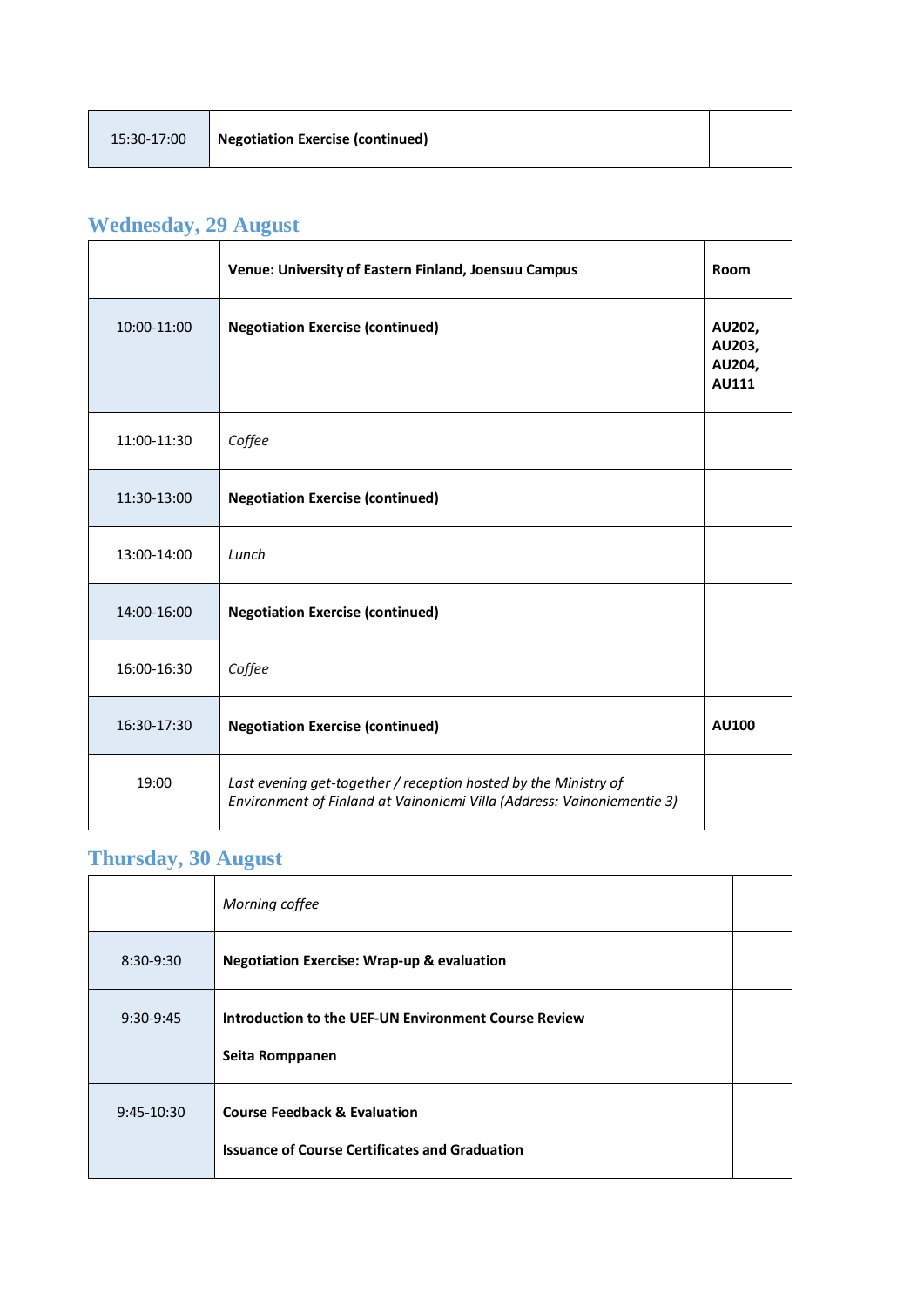### **Wednesday, 29 August**

|             | Venue: University of Eastern Finland, Joensuu Campus                                                                                      | Room                                       |
|-------------|-------------------------------------------------------------------------------------------------------------------------------------------|--------------------------------------------|
| 10:00-11:00 | <b>Negotiation Exercise (continued)</b>                                                                                                   | AU202,<br>AU203,<br>AU204,<br><b>AU111</b> |
| 11:00-11:30 | Coffee                                                                                                                                    |                                            |
| 11:30-13:00 | <b>Negotiation Exercise (continued)</b>                                                                                                   |                                            |
| 13:00-14:00 | Lunch                                                                                                                                     |                                            |
| 14:00-16:00 | <b>Negotiation Exercise (continued)</b>                                                                                                   |                                            |
| 16:00-16:30 | Coffee                                                                                                                                    |                                            |
| 16:30-17:30 | <b>Negotiation Exercise (continued)</b>                                                                                                   | <b>AU100</b>                               |
| 19:00       | Last evening get-together / reception hosted by the Ministry of<br>Environment of Finland at Vainoniemi Villa (Address: Vainoniementie 3) |                                            |

### **Thursday, 30 August**

|              | Morning coffee                                                                                   |  |
|--------------|--------------------------------------------------------------------------------------------------|--|
| $8:30-9:30$  | <b>Negotiation Exercise: Wrap-up &amp; evaluation</b>                                            |  |
| $9:30-9:45$  | Introduction to the UEF-UN Environment Course Review<br>Seita Romppanen                          |  |
| $9:45-10:30$ | <b>Course Feedback &amp; Evaluation</b><br><b>Issuance of Course Certificates and Graduation</b> |  |